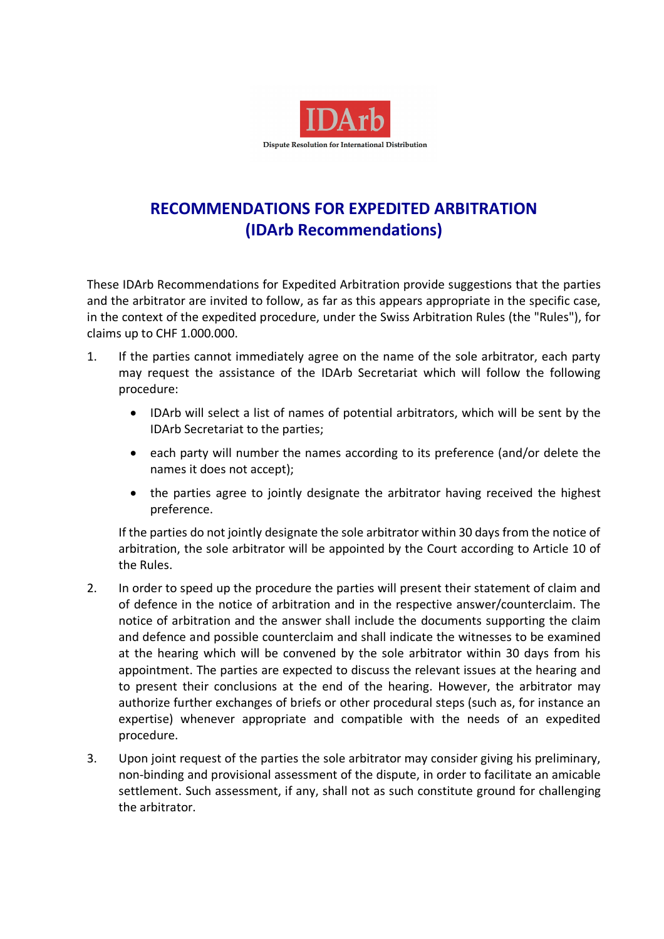

# **RECOMMENDATIONS FOR EXPEDITED ARBITRATION (IDArb Recommendations)**

These IDArb Recommendations for Expedited Arbitration provide suggestions that the parties and the arbitrator are invited to follow, as far as this appears appropriate in the specific case, in the context of the expedited procedure, under the Swiss Arbitration Rules (the "Rules"), for claims up to CHF 1.000.000.

- 1. If the parties cannot immediately agree on the name of the sole arbitrator, each party may request the assistance of the IDArb Secretariat which will follow the following procedure:
	- IDArb will select a list of names of potential arbitrators, which will be sent by the IDArb Secretariat to the parties;
	- each party will number the names according to its preference (and/or delete the names it does not accept);
	- the parties agree to jointly designate the arbitrator having received the highest preference.

If the parties do not jointly designate the sole arbitrator within 30 days from the notice of arbitration, the sole arbitrator will be appointed by the Court according to Article 10 of the Rules.

- 2. In order to speed up the procedure the parties will present their statement of claim and of defence in the notice of arbitration and in the respective answer/counterclaim. The notice of arbitration and the answer shall include the documents supporting the claim and defence and possible counterclaim and shall indicate the witnesses to be examined at the hearing which will be convened by the sole arbitrator within 30 days from his appointment. The parties are expected to discuss the relevant issues at the hearing and to present their conclusions at the end of the hearing. However, the arbitrator may authorize further exchanges of briefs or other procedural steps (such as, for instance an expertise) whenever appropriate and compatible with the needs of an expedited procedure.
- 3. Upon joint request of the parties the sole arbitrator may consider giving his preliminary, non-binding and provisional assessment of the dispute, in order to facilitate an amicable settlement. Such assessment, if any, shall not as such constitute ground for challenging the arbitrator.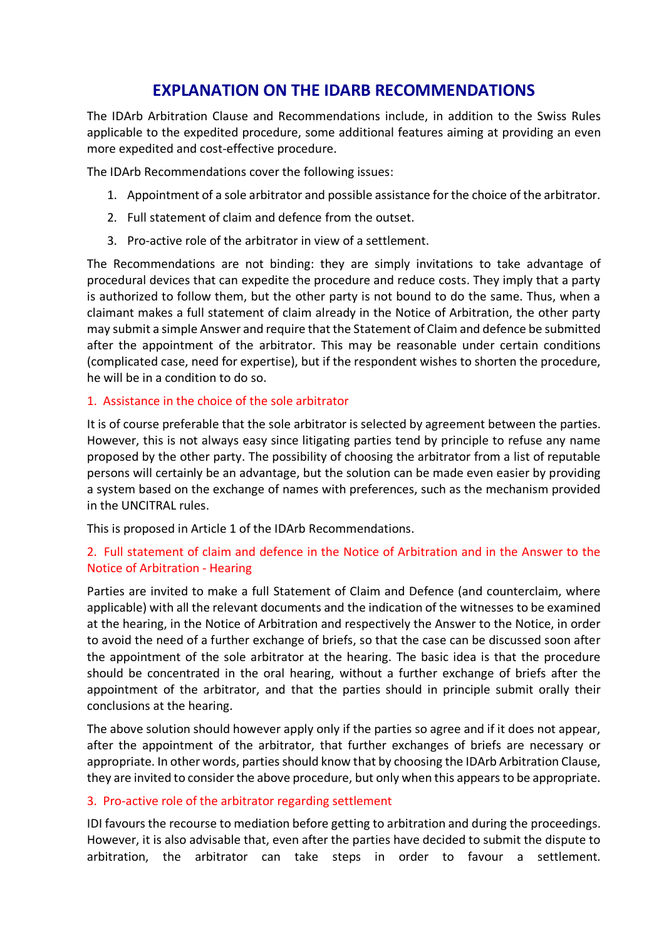# **EXPLANATION ON THE IDARB RECOMMENDATIONS**

The IDArb Arbitration Clause and Recommendations include, in addition to the Swiss Rules applicable to the expedited procedure, some additional features aiming at providing an even more expedited and cost-effective procedure.

The IDArb Recommendations cover the following issues:

- 1. Appointment of a sole arbitrator and possible assistance forthe choice of the arbitrator.
- 2. Full statement of claim and defence from the outset.
- 3. Pro-active role of the arbitrator in view of a settlement.

The Recommendations are not binding: they are simply invitations to take advantage of procedural devices that can expedite the procedure and reduce costs. They imply that a party is authorized to follow them, but the other party is not bound to do the same. Thus, when a claimant makes a full statement of claim already in the Notice of Arbitration, the other party may submit a simple Answer and require that the Statement of Claim and defence be submitted after the appointment of the arbitrator. This may be reasonable under certain conditions (complicated case, need for expertise), but if the respondent wishes to shorten the procedure, he will be in a condition to do so.

#### 1. Assistance in the choice of the sole arbitrator

It is of course preferable that the sole arbitrator is selected by agreement between the parties. However, this is not always easy since litigating parties tend by principle to refuse any name proposed by the other party. The possibility of choosing the arbitrator from a list of reputable persons will certainly be an advantage, but the solution can be made even easier by providing a system based on the exchange of names with preferences, such as the mechanism provided in the UNCITRAL rules.

This is proposed in Article 1 of the IDArb Recommendations.

## 2. Full statement of claim and defence in the Notice of Arbitration and in the Answer to the Notice of Arbitration - Hearing

Parties are invited to make a full Statement of Claim and Defence (and counterclaim, where applicable) with all the relevant documents and the indication of the witnesses to be examined at the hearing, in the Notice of Arbitration and respectively the Answer to the Notice, in order to avoid the need of a further exchange of briefs, so that the case can be discussed soon after the appointment of the sole arbitrator at the hearing. The basic idea is that the procedure should be concentrated in the oral hearing, without a further exchange of briefs after the appointment of the arbitrator, and that the parties should in principle submit orally their conclusions at the hearing.

The above solution should however apply only if the parties so agree and if it does not appear, after the appointment of the arbitrator, that further exchanges of briefs are necessary or appropriate. In other words, parties should know that by choosing the IDArb Arbitration Clause, they are invited to consider the above procedure, but only when this appears to be appropriate.

### 3. Pro-active role of the arbitrator regarding settlement

IDI favours the recourse to mediation before getting to arbitration and during the proceedings. However, it is also advisable that, even after the parties have decided to submit the dispute to arbitration, the arbitrator can take steps in order to favour a settlement.